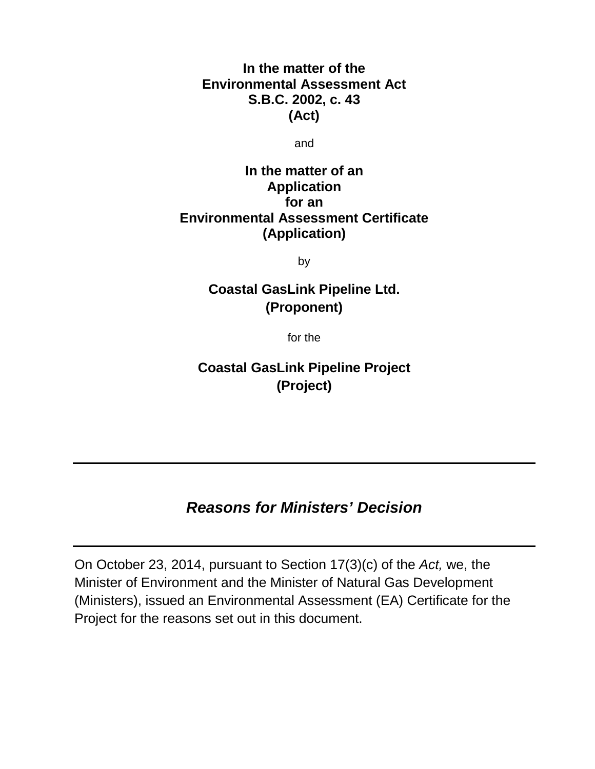**In the matter of the Environmental Assessment Act S.B.C. 2002, c. 43 (Act)**

and

# **In the matter of an Application for an Environmental Assessment Certificate (Application)**

by

# **Coastal GasLink Pipeline Ltd. (Proponent)**

for the

**Coastal GasLink Pipeline Project (Project)**

# *Reasons for Ministers' Decision*

On October 23, 2014, pursuant to Section 17(3)(c) of the *Act,* we, the Minister of Environment and the Minister of Natural Gas Development (Ministers), issued an Environmental Assessment (EA) Certificate for the Project for the reasons set out in this document.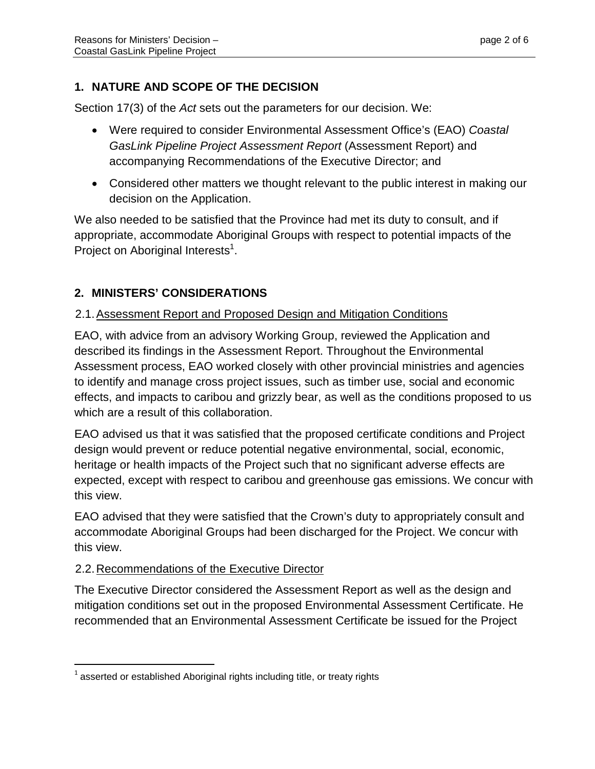# **1. NATURE AND SCOPE OF THE DECISION**

Section 17(3) of the *Act* sets out the parameters for our decision. We:

- Were required to consider Environmental Assessment Office's (EAO) *Coastal GasLink Pipeline Project Assessment Report* (Assessment Report) and accompanying Recommendations of the Executive Director; and
- Considered other matters we thought relevant to the public interest in making our decision on the Application.

We also needed to be satisfied that the Province had met its duty to consult, and if appropriate, accommodate Aboriginal Groups with respect to potential impacts of the Project on Aboriginal Interests<sup>1</sup>.

## **2. MINISTERS' CONSIDERATIONS**

## 2.1.Assessment Report and Proposed Design and Mitigation Conditions

EAO, with advice from an advisory Working Group, reviewed the Application and described its findings in the Assessment Report. Throughout the Environmental Assessment process, EAO worked closely with other provincial ministries and agencies to identify and manage cross project issues, such as timber use, social and economic effects, and impacts to caribou and grizzly bear, as well as the conditions proposed to us which are a result of this collaboration.

EAO advised us that it was satisfied that the proposed certificate conditions and Project design would prevent or reduce potential negative environmental, social, economic, heritage or health impacts of the Project such that no significant adverse effects are expected, except with respect to caribou and greenhouse gas emissions. We concur with this view.

EAO advised that they were satisfied that the Crown's duty to appropriately consult and accommodate Aboriginal Groups had been discharged for the Project. We concur with this view.

## 2.2.Recommendations of the Executive Director

The Executive Director considered the Assessment Report as well as the design and mitigation conditions set out in the proposed Environmental Assessment Certificate. He recommended that an Environmental Assessment Certificate be issued for the Project

 $1$  asserted or established Aboriginal rights including title, or treaty rights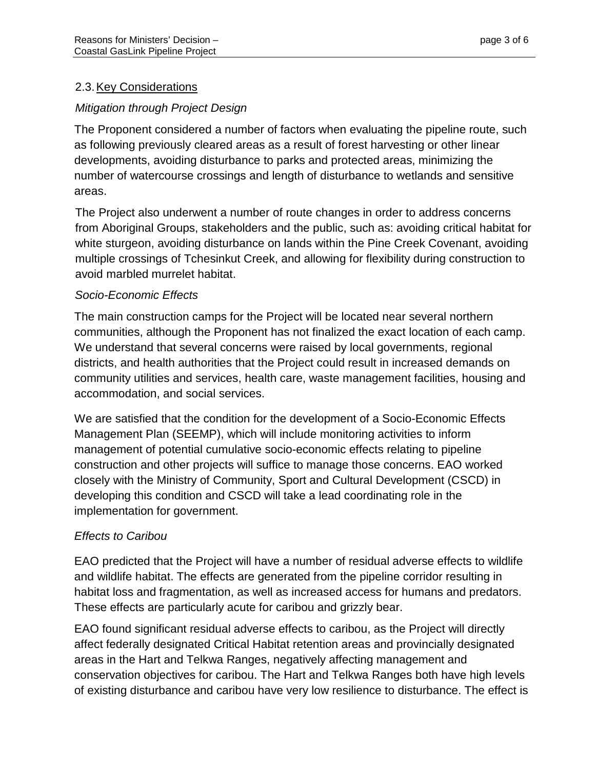# 2.3.Key Considerations

## *Mitigation through Project Design*

The Proponent considered a number of factors when evaluating the pipeline route, such as following previously cleared areas as a result of forest harvesting or other linear developments, avoiding disturbance to parks and protected areas, minimizing the number of watercourse crossings and length of disturbance to wetlands and sensitive areas.

The Project also underwent a number of route changes in order to address concerns from Aboriginal Groups, stakeholders and the public, such as: avoiding critical habitat for white sturgeon, avoiding disturbance on lands within the Pine Creek Covenant, avoiding multiple crossings of Tchesinkut Creek, and allowing for flexibility during construction to avoid marbled murrelet habitat.

## *Socio-Economic Effects*

The main construction camps for the Project will be located near several northern communities, although the Proponent has not finalized the exact location of each camp. We understand that several concerns were raised by local governments, regional districts, and health authorities that the Project could result in increased demands on community utilities and services, health care, waste management facilities, housing and accommodation, and social services.

We are satisfied that the condition for the development of a Socio-Economic Effects Management Plan (SEEMP), which will include monitoring activities to inform management of potential cumulative socio-economic effects relating to pipeline construction and other projects will suffice to manage those concerns. EAO worked closely with the Ministry of Community, Sport and Cultural Development (CSCD) in developing this condition and CSCD will take a lead coordinating role in the implementation for government.

## *Effects to Caribou*

EAO predicted that the Project will have a number of residual adverse effects to wildlife and wildlife habitat. The effects are generated from the pipeline corridor resulting in habitat loss and fragmentation, as well as increased access for humans and predators. These effects are particularly acute for caribou and grizzly bear.

EAO found significant residual adverse effects to caribou, as the Project will directly affect federally designated Critical Habitat retention areas and provincially designated areas in the Hart and Telkwa Ranges, negatively affecting management and conservation objectives for caribou. The Hart and Telkwa Ranges both have high levels of existing disturbance and caribou have very low resilience to disturbance. The effect is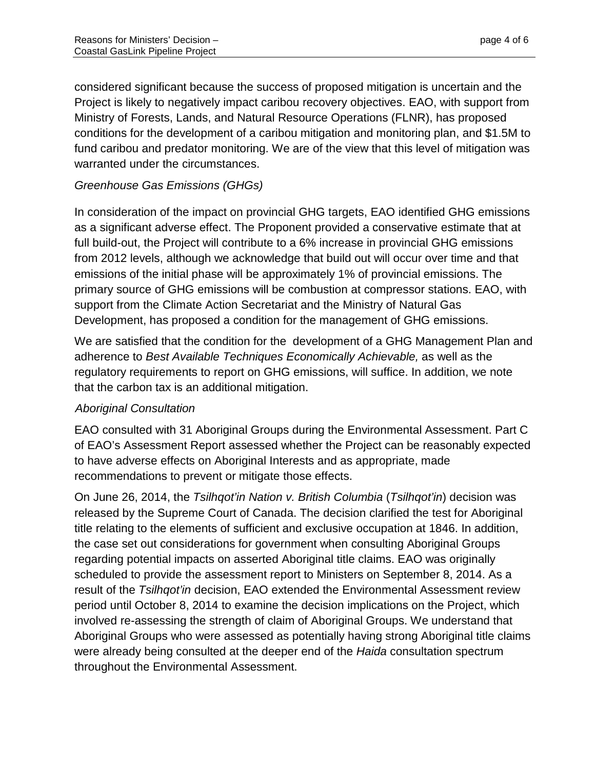considered significant because the success of proposed mitigation is uncertain and the Project is likely to negatively impact caribou recovery objectives. EAO, with support from Ministry of Forests, Lands, and Natural Resource Operations (FLNR), has proposed conditions for the development of a caribou mitigation and monitoring plan, and \$1.5M to fund caribou and predator monitoring. We are of the view that this level of mitigation was warranted under the circumstances.

## *Greenhouse Gas Emissions (GHGs)*

In consideration of the impact on provincial GHG targets, EAO identified GHG emissions as a significant adverse effect. The Proponent provided a conservative estimate that at full build-out, the Project will contribute to a 6% increase in provincial GHG emissions from 2012 levels, although we acknowledge that build out will occur over time and that emissions of the initial phase will be approximately 1% of provincial emissions. The primary source of GHG emissions will be combustion at compressor stations. EAO, with support from the Climate Action Secretariat and the Ministry of Natural Gas Development, has proposed a condition for the management of GHG emissions.

We are satisfied that the condition for the development of a GHG Management Plan and adherence to *Best Available Techniques Economically Achievable,* as well as the regulatory requirements to report on GHG emissions, will suffice. In addition, we note that the carbon tax is an additional mitigation.

## *Aboriginal Consultation*

EAO consulted with 31 Aboriginal Groups during the Environmental Assessment. Part C of EAO's Assessment Report assessed whether the Project can be reasonably expected to have adverse effects on Aboriginal Interests and as appropriate, made recommendations to prevent or mitigate those effects.

On June 26, 2014, the *Tsilhqot'in Nation v. British Columbia* (*Tsilhqot'in*) decision was released by the Supreme Court of Canada. The decision clarified the test for Aboriginal title relating to the elements of sufficient and exclusive occupation at 1846. In addition, the case set out considerations for government when consulting Aboriginal Groups regarding potential impacts on asserted Aboriginal title claims. EAO was originally scheduled to provide the assessment report to Ministers on September 8, 2014. As a result of the *Tsilhqot'in* decision, EAO extended the Environmental Assessment review period until October 8, 2014 to examine the decision implications on the Project, which involved re-assessing the strength of claim of Aboriginal Groups. We understand that Aboriginal Groups who were assessed as potentially having strong Aboriginal title claims were already being consulted at the deeper end of the *Haida* consultation spectrum throughout the Environmental Assessment.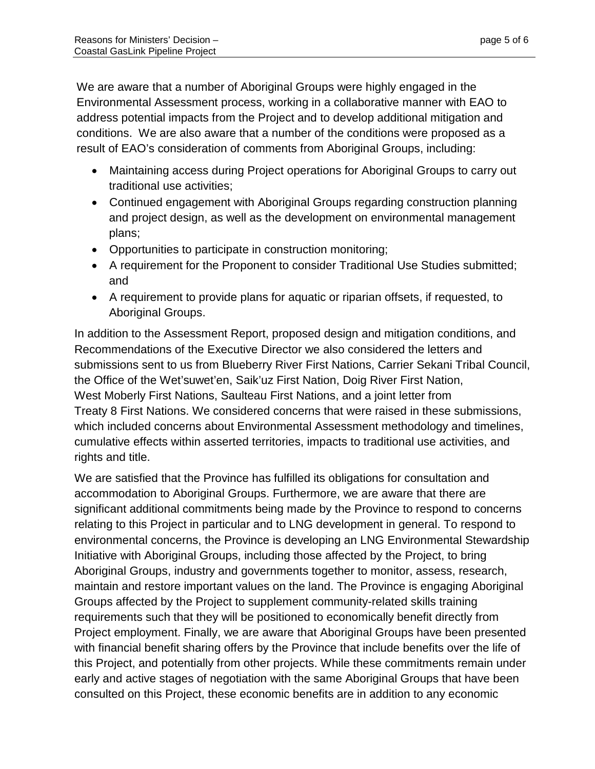We are aware that a number of Aboriginal Groups were highly engaged in the Environmental Assessment process, working in a collaborative manner with EAO to address potential impacts from the Project and to develop additional mitigation and conditions. We are also aware that a number of the conditions were proposed as a result of EAO's consideration of comments from Aboriginal Groups, including:

- Maintaining access during Project operations for Aboriginal Groups to carry out traditional use activities;
- Continued engagement with Aboriginal Groups regarding construction planning and project design, as well as the development on environmental management plans;
- Opportunities to participate in construction monitoring;
- A requirement for the Proponent to consider Traditional Use Studies submitted; and
- A requirement to provide plans for aquatic or riparian offsets, if requested, to Aboriginal Groups.

In addition to the Assessment Report, proposed design and mitigation conditions, and Recommendations of the Executive Director we also considered the letters and submissions sent to us from Blueberry River First Nations, Carrier Sekani Tribal Council, the Office of the Wet'suwet'en, Saik'uz First Nation, Doig River First Nation, West Moberly First Nations, Saulteau First Nations, and a joint letter from Treaty 8 First Nations. We considered concerns that were raised in these submissions, which included concerns about Environmental Assessment methodology and timelines, cumulative effects within asserted territories, impacts to traditional use activities, and rights and title.

We are satisfied that the Province has fulfilled its obligations for consultation and accommodation to Aboriginal Groups. Furthermore, we are aware that there are significant additional commitments being made by the Province to respond to concerns relating to this Project in particular and to LNG development in general. To respond to environmental concerns, the Province is developing an LNG Environmental Stewardship Initiative with Aboriginal Groups, including those affected by the Project, to bring Aboriginal Groups, industry and governments together to monitor, assess, research, maintain and restore important values on the land. The Province is engaging Aboriginal Groups affected by the Project to supplement community-related skills training requirements such that they will be positioned to economically benefit directly from Project employment. Finally, we are aware that Aboriginal Groups have been presented with financial benefit sharing offers by the Province that include benefits over the life of this Project, and potentially from other projects. While these commitments remain under early and active stages of negotiation with the same Aboriginal Groups that have been consulted on this Project, these economic benefits are in addition to any economic